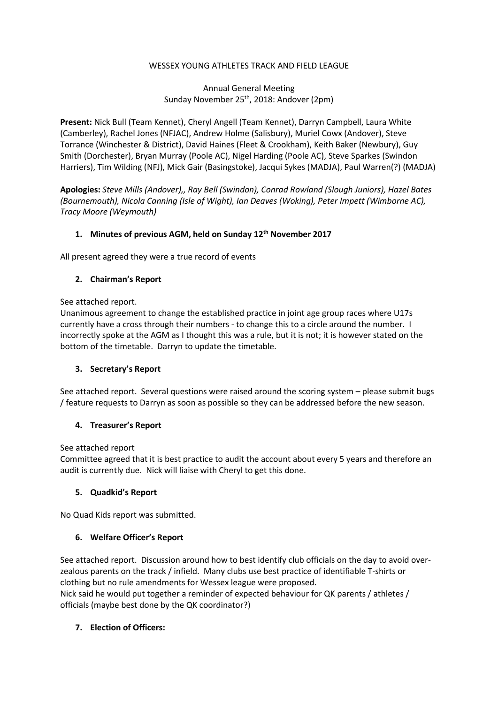#### WESSEX YOUNG ATHLETES TRACK AND FIELD LEAGUE

# Annual General Meeting Sunday November 25<sup>th</sup>, 2018: Andover (2pm)

Present: Nick Bull (Team Kennet), Cheryl Angell (Team Kennet), Darryn Campbell, Laura White (Camberley), Rachel Jones (NFJAC), Andrew Holme (Salisbury), Muriel Cowx (Andover), Steve Torrance (Winchester & District), David Haines (Fleet & Crookham), Keith Baker (Newbury), Guy Smith (Dorchester), Bryan Murray (Poole AC), Nigel Harding (Poole AC), Steve Sparkes (Swindon Harriers), Tim Wilding (NFJ), Mick Gair (Basingstoke), Jacqui Sykes (MADJA), Paul Warren(?) (MADJA)

Apologies: Steve Mills (Andover),, Ray Bell (Swindon), Conrad Rowland (Slough Juniors), Hazel Bates (Bournemouth), Nicola Canning (Isle of Wight), Ian Deaves (Woking), Peter Impett (Wimborne AC), Tracy Moore (Weymouth)

#### 1. Minutes of previous AGM, held on Sunday 12<sup>th</sup> November 2017

All present agreed they were a true record of events

#### 2. Chairman's Report

See attached report.

Unanimous agreement to change the established practice in joint age group races where U17s currently have a cross through their numbers - to change this to a circle around the number. I incorrectly spoke at the AGM as I thought this was a rule, but it is not; it is however stated on the bottom of the timetable. Darryn to update the timetable.

#### 3. Secretary's Report

See attached report. Several questions were raised around the scoring system – please submit bugs / feature requests to Darryn as soon as possible so they can be addressed before the new season.

# 4. Treasurer's Report

See attached report

Committee agreed that it is best practice to audit the account about every 5 years and therefore an audit is currently due. Nick will liaise with Cheryl to get this done.

#### 5. Quadkid's Report

No Quad Kids report was submitted.

# 6. Welfare Officer's Report

See attached report. Discussion around how to best identify club officials on the day to avoid overzealous parents on the track / infield. Many clubs use best practice of identifiable T-shirts or clothing but no rule amendments for Wessex league were proposed. Nick said he would put together a reminder of expected behaviour for QK parents / athletes /

officials (maybe best done by the QK coordinator?)

# 7. Election of Officers: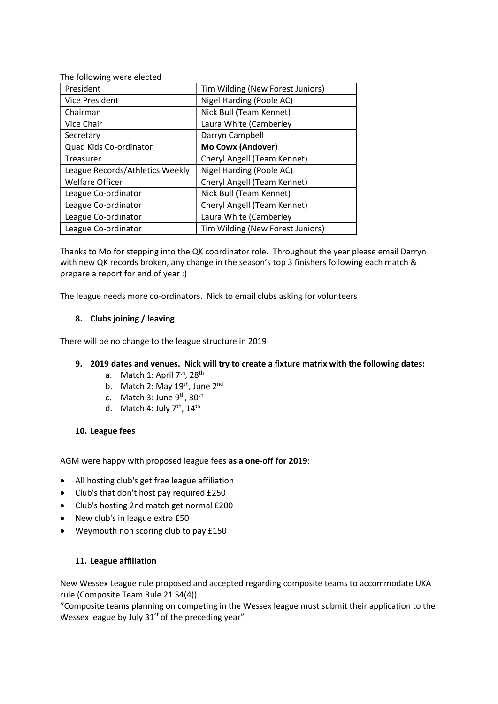| Tim Wilding (New Forest Juniors) |
|----------------------------------|
| Nigel Harding (Poole AC)         |
| Nick Bull (Team Kennet)          |
| Laura White (Camberley           |
| Darryn Campbell                  |
| Mo Cowx (Andover)                |
| Cheryl Angell (Team Kennet)      |
| Nigel Harding (Poole AC)         |
| Cheryl Angell (Team Kennet)      |
| Nick Bull (Team Kennet)          |
| Cheryl Angell (Team Kennet)      |
| Laura White (Camberley           |
| Tim Wilding (New Forest Juniors) |
|                                  |

Thanks to Mo for stepping into the QK coordinator role. Throughout the year please email Darryn with new QK records broken, any change in the season's top 3 finishers following each match & prepare a report for end of year :)

The league needs more co-ordinators. Nick to email clubs asking for volunteers

# 8. Clubs joining / leaving

There will be no change to the league structure in 2019

# 9. 2019 dates and venues. Nick will try to create a fixture matrix with the following dates:

- a. Match 1: April  $7<sup>th</sup>$ , 28<sup>th</sup>
- b. Match 2: May 19<sup>th</sup>, June 2<sup>nd</sup>
- c. Match 3: June  $9<sup>th</sup>$ , 30<sup>th</sup>
- d. Match 4: July  $7<sup>th</sup>$ ,  $14<sup>th</sup>$

# 10. League fees

AGM were happy with proposed league fees as a one-off for 2019:

- All hosting club's get free league affiliation
- Club's that don't host pay required £250
- Club's hosting 2nd match get normal £200
- New club's in league extra £50
- Weymouth non scoring club to pay £150

# 11. League affiliation

New Wessex League rule proposed and accepted regarding composite teams to accommodate UKA rule (Composite Team Rule 21 S4(4)).

"Composite teams planning on competing in the Wessex league must submit their application to the Wessex league by July  $31<sup>st</sup>$  of the preceding year"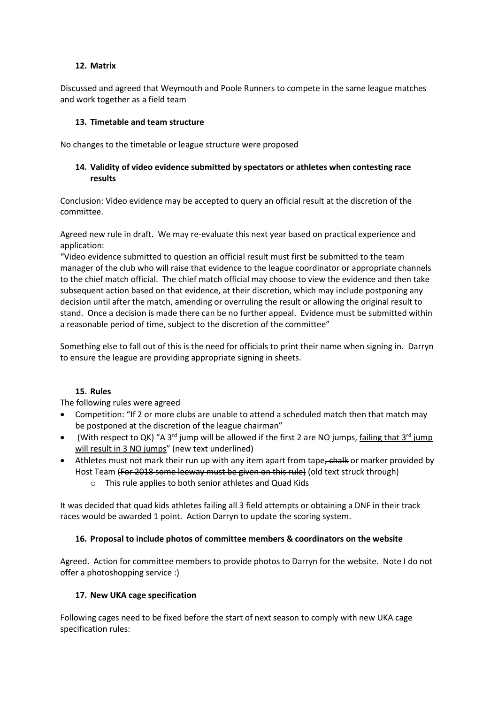#### 12. Matrix

Discussed and agreed that Weymouth and Poole Runners to compete in the same league matches and work together as a field team

#### 13. Timetable and team structure

No changes to the timetable or league structure were proposed

# 14. Validity of video evidence submitted by spectators or athletes when contesting race results

Conclusion: Video evidence may be accepted to query an official result at the discretion of the committee.

Agreed new rule in draft. We may re-evaluate this next year based on practical experience and application:

"Video evidence submitted to question an official result must first be submitted to the team manager of the club who will raise that evidence to the league coordinator or appropriate channels to the chief match official. The chief match official may choose to view the evidence and then take subsequent action based on that evidence, at their discretion, which may include postponing any decision until after the match, amending or overruling the result or allowing the original result to stand. Once a decision is made there can be no further appeal. Evidence must be submitted within a reasonable period of time, subject to the discretion of the committee"

Something else to fall out of this is the need for officials to print their name when signing in. Darryn to ensure the league are providing appropriate signing in sheets.

#### 15. Rules

The following rules were agreed

- Competition: "If 2 or more clubs are unable to attend a scheduled match then that match may be postponed at the discretion of the league chairman"
- (With respect to QK) "A 3<sup>rd</sup> jump will be allowed if the first 2 are NO jumps, failing that 3<sup>rd</sup> jump will result in 3 NO jumps" (new text underlined)
- Athletes must not mark their run up with any item apart from tape, chalk or marker provided by Host Team (For 2018 some leeway must be given on this rule) (old text struck through)
	- o This rule applies to both senior athletes and Quad Kids

It was decided that quad kids athletes failing all 3 field attempts or obtaining a DNF in their track races would be awarded 1 point. Action Darryn to update the scoring system.

# 16. Proposal to include photos of committee members & coordinators on the website

Agreed. Action for committee members to provide photos to Darryn for the website. Note I do not offer a photoshopping service :)

# 17. New UKA cage specification

Following cages need to be fixed before the start of next season to comply with new UKA cage specification rules: